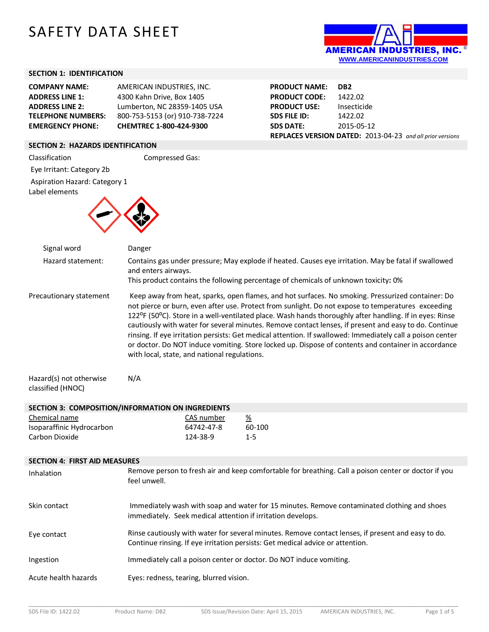# SAFETY DATA SHEET



# **SECTION 1: IDENTIFICATION**

| <b>COMPANY NAME:</b>      | AMERICAN INDUSTRIES, INC.      |
|---------------------------|--------------------------------|
| <b>ADDRESS LINE 1:</b>    | 4300 Kahn Drive, Box 1405      |
| <b>ADDRESS LINE 2:</b>    | Lumberton, NC 28359-1405 USA   |
| <b>TELEPHONE NUMBERS:</b> | 800-753-5153 (or) 910-738-7224 |
| <b>EMERGENCY PHONE:</b>   | CHEMTREC 1-800-424-9300        |

| <b>PRODUCT NAME:</b> | DB <sub>2</sub>                                                  |
|----------------------|------------------------------------------------------------------|
| <b>PRODUCT CODE:</b> | 1422.02                                                          |
| <b>PRODUCT USE:</b>  | Insecticide                                                      |
| <b>SDS FILE ID:</b>  | 1422.02                                                          |
| <b>SDS DATE:</b>     | 2015-05-12                                                       |
|                      | <b>REPLACES VERSION DATED:</b> 2013-04-23 and all prior versions |

## **SECTION 2: HAZARDS IDENTIFICATION**

Classification Compressed Gas:

Eye Irritant: Category 2b

Aspiration Hazard: Category 1

Label elements



| Signal word                                                  | Danger                                                                         |                                                                                                                                                                                                                                                                                                                                                                                                                                                                                                                                                                                                                                                  |
|--------------------------------------------------------------|--------------------------------------------------------------------------------|--------------------------------------------------------------------------------------------------------------------------------------------------------------------------------------------------------------------------------------------------------------------------------------------------------------------------------------------------------------------------------------------------------------------------------------------------------------------------------------------------------------------------------------------------------------------------------------------------------------------------------------------------|
| Hazard statement:                                            | and enters airways.                                                            | Contains gas under pressure; May explode if heated. Causes eye irritation. May be fatal if swallowed<br>This product contains the following percentage of chemicals of unknown toxicity: 0%                                                                                                                                                                                                                                                                                                                                                                                                                                                      |
| Precautionary statement<br>Hazard(s) not otherwise           | with local, state, and national regulations.<br>N/A                            | Keep away from heat, sparks, open flames, and hot surfaces. No smoking. Pressurized container: Do<br>not pierce or burn, even after use. Protect from sunlight. Do not expose to temperatures exceeding<br>122°F (50°C). Store in a well-ventilated place. Wash hands thoroughly after handling. If in eyes: Rinse<br>cautiously with water for several minutes. Remove contact lenses, if present and easy to do. Continue<br>rinsing. If eye irritation persists: Get medical attention. If swallowed: Immediately call a poison center<br>or doctor. Do NOT induce vomiting. Store locked up. Dispose of contents and container in accordance |
| classified (HNOC)                                            |                                                                                |                                                                                                                                                                                                                                                                                                                                                                                                                                                                                                                                                                                                                                                  |
|                                                              | SECTION 3: COMPOSITION/INFORMATION ON INGREDIENTS                              |                                                                                                                                                                                                                                                                                                                                                                                                                                                                                                                                                                                                                                                  |
| Chemical name<br>Isoparaffinic Hydrocarbon<br>Carbon Dioxide | CAS number<br>$\frac{\%}{\%}$<br>64742-47-8<br>124-38-9<br>$1 - 5$             | 60-100                                                                                                                                                                                                                                                                                                                                                                                                                                                                                                                                                                                                                                           |
| <b>SECTION 4: FIRST AID MEASURES</b>                         |                                                                                |                                                                                                                                                                                                                                                                                                                                                                                                                                                                                                                                                                                                                                                  |
| Inhalation                                                   | feel unwell.                                                                   | Remove person to fresh air and keep comfortable for breathing. Call a poison center or doctor if you                                                                                                                                                                                                                                                                                                                                                                                                                                                                                                                                             |
| Skin contact                                                 | immediately. Seek medical attention if irritation develops.                    | Immediately wash with soap and water for 15 minutes. Remove contaminated clothing and shoes                                                                                                                                                                                                                                                                                                                                                                                                                                                                                                                                                      |
| Eye contact                                                  | Continue rinsing. If eye irritation persists: Get medical advice or attention. | Rinse cautiously with water for several minutes. Remove contact lenses, if present and easy to do.                                                                                                                                                                                                                                                                                                                                                                                                                                                                                                                                               |
| Ingestion                                                    | Immediately call a poison center or doctor. Do NOT induce vomiting.            |                                                                                                                                                                                                                                                                                                                                                                                                                                                                                                                                                                                                                                                  |
| $0.0140$ hoolth hospeds                                      | Event rodness togring blurred vicion                                           |                                                                                                                                                                                                                                                                                                                                                                                                                                                                                                                                                                                                                                                  |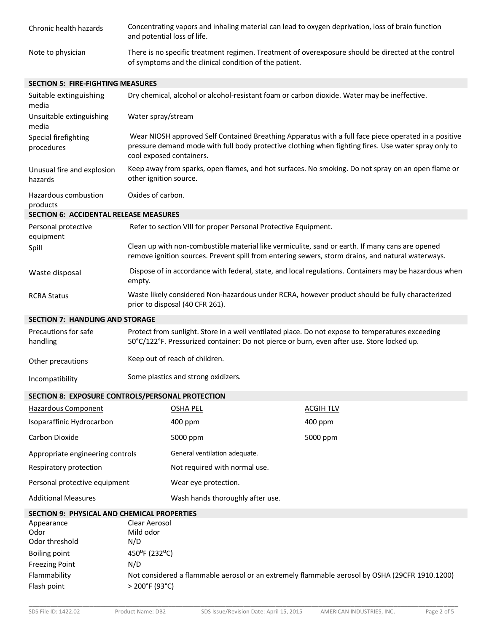| Chronic health hazards | Concentrating vapors and inhaling material can lead to oxygen deprivation, loss of brain function<br>and potential loss of life.                              |
|------------------------|---------------------------------------------------------------------------------------------------------------------------------------------------------------|
| Note to physician      | There is no specific treatment regimen. Treatment of overexposure should be directed at the control<br>of symptoms and the clinical condition of the patient. |

## **SECTION 5: FIRE-FIGHTING MEASURES**

| Suitable extinguishing<br>media                    |                                                                                                                                                                                                | Dry chemical, alcohol or alcohol-resistant foam or carbon dioxide. Water may be ineffective.                                                                                                                                             |                                                                                                                                                                                                      |  |
|----------------------------------------------------|------------------------------------------------------------------------------------------------------------------------------------------------------------------------------------------------|------------------------------------------------------------------------------------------------------------------------------------------------------------------------------------------------------------------------------------------|------------------------------------------------------------------------------------------------------------------------------------------------------------------------------------------------------|--|
| Unsuitable extinguishing<br>media                  | Water spray/stream                                                                                                                                                                             |                                                                                                                                                                                                                                          |                                                                                                                                                                                                      |  |
| Special firefighting<br>procedures                 |                                                                                                                                                                                                | Wear NIOSH approved Self Contained Breathing Apparatus with a full face piece operated in a positive<br>pressure demand mode with full body protective clothing when fighting fires. Use water spray only to<br>cool exposed containers. |                                                                                                                                                                                                      |  |
| Unusual fire and explosion<br>hazards              | other ignition source.                                                                                                                                                                         |                                                                                                                                                                                                                                          | Keep away from sparks, open flames, and hot surfaces. No smoking. Do not spray on an open flame or                                                                                                   |  |
| Hazardous combustion<br>products                   | Oxides of carbon.                                                                                                                                                                              |                                                                                                                                                                                                                                          |                                                                                                                                                                                                      |  |
| <b>SECTION 6: ACCIDENTAL RELEASE MEASURES</b>      |                                                                                                                                                                                                |                                                                                                                                                                                                                                          |                                                                                                                                                                                                      |  |
| Personal protective<br>equipment                   |                                                                                                                                                                                                | Refer to section VIII for proper Personal Protective Equipment.                                                                                                                                                                          |                                                                                                                                                                                                      |  |
| Spill                                              |                                                                                                                                                                                                |                                                                                                                                                                                                                                          | Clean up with non-combustible material like vermiculite, sand or earth. If many cans are opened<br>remove ignition sources. Prevent spill from entering sewers, storm drains, and natural waterways. |  |
| Waste disposal                                     | Dispose of in accordance with federal, state, and local regulations. Containers may be hazardous when<br>empty.                                                                                |                                                                                                                                                                                                                                          |                                                                                                                                                                                                      |  |
| <b>RCRA Status</b>                                 | Waste likely considered Non-hazardous under RCRA, however product should be fully characterized<br>prior to disposal (40 CFR 261).                                                             |                                                                                                                                                                                                                                          |                                                                                                                                                                                                      |  |
| <b>SECTION 7: HANDLING AND STORAGE</b>             |                                                                                                                                                                                                |                                                                                                                                                                                                                                          |                                                                                                                                                                                                      |  |
| Precautions for safe<br>handling                   | Protect from sunlight. Store in a well ventilated place. Do not expose to temperatures exceeding<br>50°C/122°F. Pressurized container: Do not pierce or burn, even after use. Store locked up. |                                                                                                                                                                                                                                          |                                                                                                                                                                                                      |  |
| Other precautions                                  |                                                                                                                                                                                                | Keep out of reach of children.                                                                                                                                                                                                           |                                                                                                                                                                                                      |  |
| Incompatibility                                    | Some plastics and strong oxidizers.                                                                                                                                                            |                                                                                                                                                                                                                                          |                                                                                                                                                                                                      |  |
| SECTION 8: EXPOSURE CONTROLS/PERSONAL PROTECTION   |                                                                                                                                                                                                |                                                                                                                                                                                                                                          |                                                                                                                                                                                                      |  |
| <b>Hazardous Component</b>                         |                                                                                                                                                                                                | <b>OSHA PEL</b>                                                                                                                                                                                                                          | <b>ACGIH TLV</b>                                                                                                                                                                                     |  |
| Isoparaffinic Hydrocarbon                          |                                                                                                                                                                                                | 400 ppm                                                                                                                                                                                                                                  | 400 ppm                                                                                                                                                                                              |  |
| Carbon Dioxide                                     |                                                                                                                                                                                                | 5000 ppm                                                                                                                                                                                                                                 | 5000 ppm                                                                                                                                                                                             |  |
| Appropriate engineering controls                   |                                                                                                                                                                                                | General ventilation adequate.                                                                                                                                                                                                            |                                                                                                                                                                                                      |  |
| Respiratory protection                             |                                                                                                                                                                                                | Not required with normal use.                                                                                                                                                                                                            |                                                                                                                                                                                                      |  |
| Personal protective equipment                      |                                                                                                                                                                                                | Wear eye protection.                                                                                                                                                                                                                     |                                                                                                                                                                                                      |  |
| <b>Additional Measures</b>                         |                                                                                                                                                                                                | Wash hands thoroughly after use.                                                                                                                                                                                                         |                                                                                                                                                                                                      |  |
| <b>SECTION 9: PHYSICAL AND CHEMICAL PROPERTIES</b> |                                                                                                                                                                                                |                                                                                                                                                                                                                                          |                                                                                                                                                                                                      |  |
| Appearance                                         | Clear Aerosol                                                                                                                                                                                  |                                                                                                                                                                                                                                          |                                                                                                                                                                                                      |  |
| Odor                                               | Mild odor                                                                                                                                                                                      |                                                                                                                                                                                                                                          |                                                                                                                                                                                                      |  |
| Odor threshold                                     | N/D                                                                                                                                                                                            |                                                                                                                                                                                                                                          |                                                                                                                                                                                                      |  |
| <b>Boiling point</b>                               | 450°F (232°C)<br>$\overline{1}$                                                                                                                                                                |                                                                                                                                                                                                                                          |                                                                                                                                                                                                      |  |

| <b>Freezing Point</b> | N/D                                                                                            |
|-----------------------|------------------------------------------------------------------------------------------------|
| Flammability          | Not considered a flammable aerosol or an extremely flammable aerosol by OSHA (29CFR 1910.1200) |
| Flash point           | > 200°F (93°C)                                                                                 |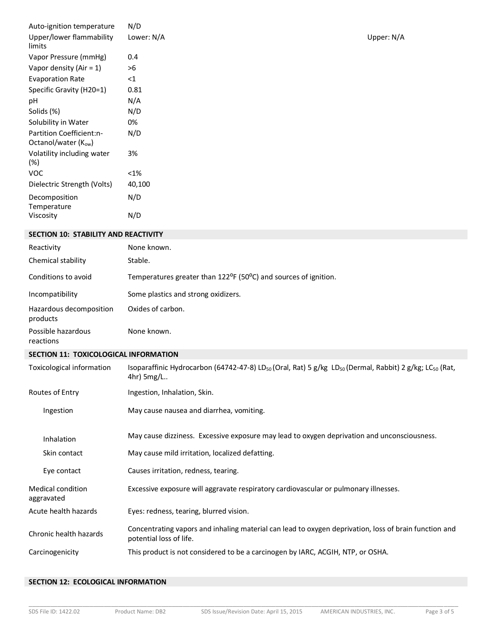| Auto-ignition temperature<br>Upper/lower flammability | N/D<br>Lower: N/A                                                                                                                                         | Upper: N/A |
|-------------------------------------------------------|-----------------------------------------------------------------------------------------------------------------------------------------------------------|------------|
| limits                                                |                                                                                                                                                           |            |
| Vapor Pressure (mmHg)                                 | 0.4                                                                                                                                                       |            |
| Vapor density (Air = $1$ )                            | >6                                                                                                                                                        |            |
| <b>Evaporation Rate</b>                               | $\leq$ 1                                                                                                                                                  |            |
| Specific Gravity (H20=1)                              | 0.81                                                                                                                                                      |            |
| pH                                                    | N/A                                                                                                                                                       |            |
| Solids (%)                                            | N/D                                                                                                                                                       |            |
| Solubility in Water                                   | 0%                                                                                                                                                        |            |
| Partition Coefficient:n-<br>Octanol/water (Kow)       | N/D                                                                                                                                                       |            |
| Volatility including water<br>(%)                     | 3%                                                                                                                                                        |            |
| <b>VOC</b>                                            | $< 1\%$                                                                                                                                                   |            |
| Dielectric Strength (Volts)                           | 40,100                                                                                                                                                    |            |
| Decomposition<br>Temperature                          | N/D                                                                                                                                                       |            |
| Viscosity                                             | N/D                                                                                                                                                       |            |
| <b>SECTION 10: STABILITY AND REACTIVITY</b>           |                                                                                                                                                           |            |
| Reactivity                                            | None known.                                                                                                                                               |            |
| Chemical stability                                    | Stable.                                                                                                                                                   |            |
| Conditions to avoid                                   | Temperatures greater than 122 <sup>o</sup> F (50 <sup>o</sup> C) and sources of ignition.                                                                 |            |
| Incompatibility                                       | Some plastics and strong oxidizers.                                                                                                                       |            |
| Hazardous decomposition<br>products                   | Oxides of carbon.                                                                                                                                         |            |
| Possible hazardous<br>reactions                       | None known.                                                                                                                                               |            |
| SECTION 11: TOXICOLOGICAL INFORMATION                 |                                                                                                                                                           |            |
| Toxicological information                             | Isoparaffinic Hydrocarbon (64742-47-8) LD <sub>50</sub> (Oral, Rat) 5 g/kg LD <sub>50</sub> (Dermal, Rabbit) 2 g/kg; LC <sub>50</sub> (Rat,<br>4hr) 5mg/L |            |
| Routes of Entry                                       | Ingestion, Inhalation, Skin.                                                                                                                              |            |
| Ingestion                                             | May cause nausea and diarrhea, vomiting.                                                                                                                  |            |
| Inhalation                                            | May cause dizziness. Excessive exposure may lead to oxygen deprivation and unconsciousness.                                                               |            |
| Skin contact                                          | May cause mild irritation, localized defatting.                                                                                                           |            |
| Eye contact                                           | Causes irritation, redness, tearing.                                                                                                                      |            |
| Medical condition<br>aggravated                       | Excessive exposure will aggravate respiratory cardiovascular or pulmonary illnesses.                                                                      |            |
| Acute health hazards                                  | Eyes: redness, tearing, blurred vision.                                                                                                                   |            |
| Chronic health hazards                                | Concentrating vapors and inhaling material can lead to oxygen deprivation, loss of brain function and<br>potential loss of life.                          |            |
| Carcinogenicity                                       | This product is not considered to be a carcinogen by IARC, ACGIH, NTP, or OSHA.                                                                           |            |

# **SECTION 12: ECOLOGICAL INFORMATION**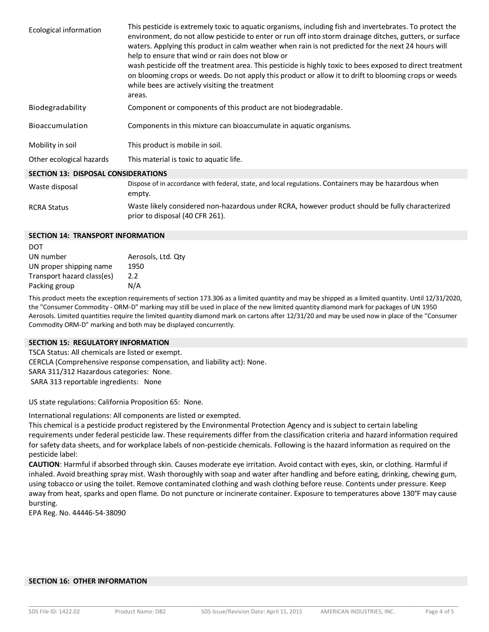| <b>Ecological information</b>              | This pesticide is extremely toxic to aquatic organisms, including fish and invertebrates. To protect the<br>environment, do not allow pesticide to enter or run off into storm drainage ditches, gutters, or surface<br>waters. Applying this product in calm weather when rain is not predicted for the next 24 hours will<br>help to ensure that wind or rain does not blow or<br>wash pesticide off the treatment area. This pesticide is highly toxic to bees exposed to direct treatment<br>on blooming crops or weeds. Do not apply this product or allow it to drift to blooming crops or weeds<br>while bees are actively visiting the treatment<br>areas. |
|--------------------------------------------|--------------------------------------------------------------------------------------------------------------------------------------------------------------------------------------------------------------------------------------------------------------------------------------------------------------------------------------------------------------------------------------------------------------------------------------------------------------------------------------------------------------------------------------------------------------------------------------------------------------------------------------------------------------------|
| Biodegradability                           | Component or components of this product are not biodegradable.                                                                                                                                                                                                                                                                                                                                                                                                                                                                                                                                                                                                     |
| Bioaccumulation                            | Components in this mixture can bioaccumulate in aquatic organisms.                                                                                                                                                                                                                                                                                                                                                                                                                                                                                                                                                                                                 |
| Mobility in soil                           | This product is mobile in soil.                                                                                                                                                                                                                                                                                                                                                                                                                                                                                                                                                                                                                                    |
| Other ecological hazards                   | This material is toxic to aquatic life.                                                                                                                                                                                                                                                                                                                                                                                                                                                                                                                                                                                                                            |
| <b>SECTION 13: DISPOSAL CONSIDERATIONS</b> |                                                                                                                                                                                                                                                                                                                                                                                                                                                                                                                                                                                                                                                                    |
| Waste disposal                             | Dispose of in accordance with federal, state, and local regulations. Containers may be hazardous when                                                                                                                                                                                                                                                                                                                                                                                                                                                                                                                                                              |

empty. RCRA Status Waste likely considered non-hazardous under RCRA, however product should be fully characterized prior to disposal (40 CFR 261).

### **SECTION 14: TRANSPORT INFORMATION**

no<sup>+</sup>

| DUT                        |                    |
|----------------------------|--------------------|
| UN number                  | Aerosols, Ltd. Qty |
| UN proper shipping name    | 1950               |
| Transport hazard class(es) | 2.2                |
| Packing group              | N/A                |
|                            |                    |

This product meets the exception requirements of section 173.306 as a limited quantity and may be shipped as a limited quantity. Until 12/31/2020, the "Consumer Commodity - ORM-D" marking may still be used in place of the new limited quantity diamond mark for packages of UN 1950 Aerosols. Limited quantities require the limited quantity diamond mark on cartons after 12/31/20 and may be used now in place of the "Consumer Commodity ORM-D" marking and both may be displayed concurrently.

## **SECTION 15: REGULATORY INFORMATION**

TSCA Status: All chemicals are listed or exempt. CERCLA (Comprehensive response compensation, and liability act): None. SARA 311/312 Hazardous categories: None. SARA 313 reportable ingredients: None

US state regulations: California Proposition 65: None.

International regulations: All components are listed or exempted.

This chemical is a pesticide product registered by the Environmental Protection Agency and is subject to certain labeling requirements under federal pesticide law. These requirements differ from the classification criteria and hazard information required for safety data sheets, and for workplace labels of non-pesticide chemicals. Following is the hazard information as required on the pesticide label:

**CAUTION**: Harmful if absorbed through skin. Causes moderate eye irritation. Avoid contact with eyes, skin, or clothing. Harmful if inhaled. Avoid breathing spray mist. Wash thoroughly with soap and water after handling and before eating, drinking, chewing gum, using tobacco or using the toilet. Remove contaminated clothing and wash clothing before reuse. Contents under pressure. Keep away from heat, sparks and open flame. Do not puncture or incinerate container. Exposure to temperatures above 130°F may cause bursting.

EPA Reg. No. 44446-54-38090

### **SECTION 16: OTHER INFORMATION**